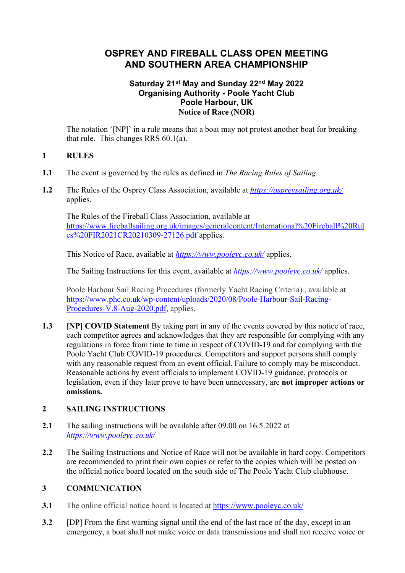# **OSPREY AND FIREBALL CLASS OPEN MEETING AND SOUTHERN AREA CHAMPIONSHIP**

#### **Saturday 21st May and Sunday 22nd May 2022 Organising Authority - Poole Yacht Club Poole Harbour, UK Notice of Race (NOR)**

The notation '[NP]' in a rule means that a boat may not protest another boat for breaking that rule. This changes RRS 60.1(a).

### **1 RULES**

- **1.1** The event is governed by the rules as defined in *The Racing Rules of Sailing.*
- **1.2** The Rules of the Osprey Class Association, available at *https://ospreysailing.org.uk/* applies.

The Rules of the Fireball Class Association, available at https://www.fireballsailing.org.uk/images/generalcontent/International%20Fireball%20Rul es%20FIR2021CR20210309-27126.pdf applies.

This Notice of Race, available at *https://www.pooleyc.co.uk/* applies.

The Sailing Instructions for this event, available at *https://www.pooleyc.co.uk/* applies.

Poole Harbour Sail Racing Procedures (formerly Yacht Racing Criteria) , available at https://www.phc.co.uk/wp-content/uploads/2020/08/Poole-Harbour-Sail-Racing-Procedures-V.8-Aug-2020.pdf, applies.

**1.3 [NP] COVID Statement** By taking part in any of the events covered by this notice of race, each competitor agrees and acknowledges that they are responsible for complying with any regulations in force from time to time in respect of COVID-19 and for complying with the Poole Yacht Club COVID-19 procedures. Competitors and support persons shall comply with any reasonable request from an event official. Failure to comply may be misconduct. Reasonable actions by event officials to implement COVID-19 guidance, protocols or legislation, even if they later prove to have been unnecessary, are **not improper actions or omissions.**

## **2 SAILING INSTRUCTIONS**

- **2.1** The sailing instructions will be available after 09.00 on 16.5.2022 at *https://www.pooleyc.co.uk/*
- **2.2** The Sailing Instructions and Notice of Race will not be available in hard copy. Competitors are recommended to print their own copies or refer to the copies which will be posted on the official notice board located on the south side of The Poole Yacht Club clubhouse.

# **3 COMMUNICATION**

- **3.1** The online official notice board is located at https://www.pooleyc.co.uk/
- **3.2** [DP] From the first warning signal until the end of the last race of the day, except in an emergency, a boat shall not make voice or data transmissions and shall not receive voice or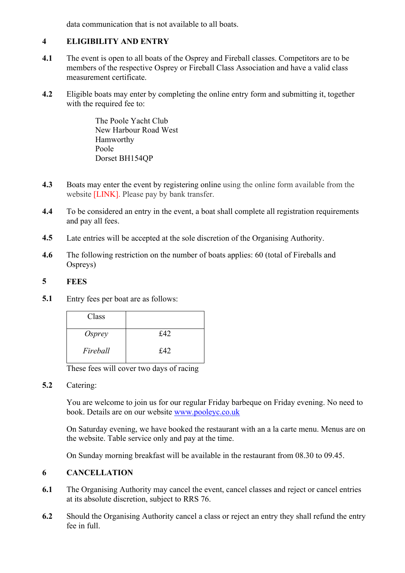data communication that is not available to all boats.

# **4 ELIGIBILITY AND ENTRY**

- **4.1** The event is open to all boats of the Osprey and Fireball classes. Competitors are to be members of the respective Osprey or Fireball Class Association and have a valid class measurement certificate.
- **4.2** Eligible boats may enter by completing the online entry form and submitting it, together with the required fee to:

The Poole Yacht Club New Harbour Road West Hamworthy Poole Dorset BH154QP

- **4.3** Boats may enter the event by registering online using the online form available from the website [LINK]. Please pay by bank transfer.
- **4.4** To be considered an entry in the event, a boat shall complete all registration requirements and pay all fees.
- **4.5** Late entries will be accepted at the sole discretion of the Organising Authority.
- **4.6** The following restriction on the number of boats applies: 60 (total of Fireballs and Ospreys)

# **5 FEES**

**5.1** Entry fees per boat are as follows:

| Class         |     |
|---------------|-----|
| <i>Osprey</i> | £42 |
| Fireball      | £42 |

These fees will cover two days of racing

**5.2** Catering:

You are welcome to join us for our regular Friday barbeque on Friday evening. No need to book. Details are on our website www.pooleyc.co.uk

On Saturday evening, we have booked the restaurant with an a la carte menu. Menus are on the website. Table service only and pay at the time.

On Sunday morning breakfast will be available in the restaurant from 08.30 to 09.45.

# **6 CANCELLATION**

- **6.1** The Organising Authority may cancel the event, cancel classes and reject or cancel entries at its absolute discretion, subject to RRS 76.
- **6.2** Should the Organising Authority cancel a class or reject an entry they shall refund the entry fee in full.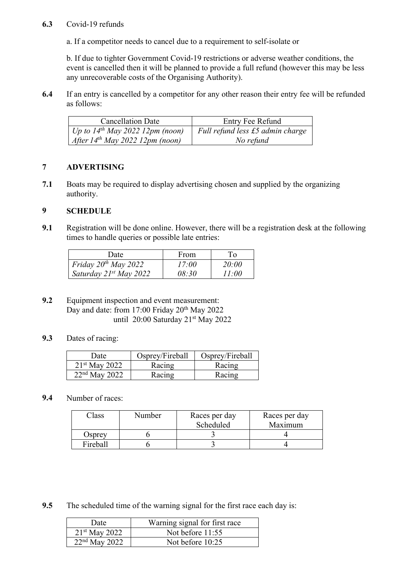#### **6.3** Covid-19 refunds

a. If a competitor needs to cancel due to a requirement to self-isolate or

b. If due to tighter Government Covid-19 restrictions or adverse weather conditions, the event is cancelled then it will be planned to provide a full refund (however this may be less any unrecoverable costs of the Organising Authority).

**6.4** If an entry is cancelled by a competitor for any other reason their entry fee will be refunded as follows:

| <b>Cancellation Date</b>             | Entry Fee Refund                 |
|--------------------------------------|----------------------------------|
| Up to $14^{th}$ May 2022 12pm (noon) | Full refund less £5 admin charge |
| After $14^{th}$ May 2022 12pm (noon) | No refund                        |

### **7 ADVERTISING**

**7.1** Boats may be required to display advertising chosen and supplied by the organizing authority.

# **9 SCHEDULE**

**9.1** Registration will be done online. However, there will be a registration desk at the following times to handle queries or possible late entries:

| Date                               | From  | Tо    |
|------------------------------------|-------|-------|
| Friday $20^{th}$ May $2022$        | 17:00 | 20:00 |
| Saturday 21 <sup>st</sup> May 2022 | 08:30 | 11:00 |

- **9.2** Equipment inspection and event measurement: Day and date: from 17:00 Friday 20<sup>th</sup> May 2022 until 20:00 Saturday 21st May 2022
- **9.3** Dates of racing:

| Date            | Osprey/Fireball | Osprey/Fireball |
|-----------------|-----------------|-----------------|
| $21st$ May 2022 | Racing          | Racing          |
| $22nd$ May 2022 | Racing          | Racing          |

# **9.4** Number of races:

| 'lass    | Number | Races per day<br>Scheduled | Races per day<br>Maximum |
|----------|--------|----------------------------|--------------------------|
| Osprev   |        |                            |                          |
| Fireball |        |                            |                          |

**9.5** The scheduled time of the warning signal for the first race each day is:

| Date            | Warning signal for first race |
|-----------------|-------------------------------|
| $21st$ May 2022 | Not before $11:55$            |
| $22nd$ May 2022 | Not before 10:25              |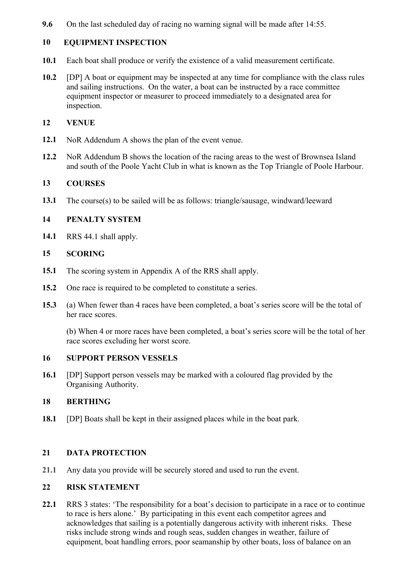**9.6** On the last scheduled day of racing no warning signal will be made after 14:55.

# **10 EQUIPMENT INSPECTION**

- **10.1** Each boat shall produce or verify the existence of a valid measurement certificate.
- **10.2** [DP] A boat or equipment may be inspected at any time for compliance with the class rules and sailing instructions. On the water, a boat can be instructed by a race committee equipment inspector or measurer to proceed immediately to a designated area for inspection.

### **12 VENUE**

- **12.1** NoR Addendum A shows the plan of the event venue.
- **12.2** NoR Addendum B shows the location of the racing areas to the west of Brownsea Island and south of the Poole Yacht Club in what is known as the Top Triangle of Poole Harbour.

### **13 COURSES**

**13.1** The course(s) to be sailed will be as follows: triangle/sausage, windward/leeward

#### **14 PENALTY SYSTEM**

**14.1** RRS 44.1 shall apply.

#### **15 SCORING**

- **15.1** The scoring system in Appendix A of the RRS shall apply.
- **15.2** One race is required to be completed to constitute a series.
- **15.3** (a) When fewer than 4 races have been completed, a boat's series score will be the total of her race scores.

(b) When 4 or more races have been completed, a boat's series score will be the total of her race scores excluding her worst score.

#### **16 SUPPORT PERSON VESSELS**

**16.1** [DP] Support person vessels may be marked with a coloured flag provided by the Organising Authority.

### **18 BERTHING**

**18.1** [DP] Boats shall be kept in their assigned places while in the boat park.

### **21 DATA PROTECTION**

**21.1** Any data you provide will be securely stored and used to run the event.

### **22 RISK STATEMENT**

**22.1** RRS 3 states: 'The responsibility for a boat's decision to participate in a race or to continue to race is hers alone.' By participating in this event each competitor agrees and acknowledges that sailing is a potentially dangerous activity with inherent risks. These risks include strong winds and rough seas, sudden changes in weather, failure of equipment, boat handling errors, poor seamanship by other boats, loss of balance on an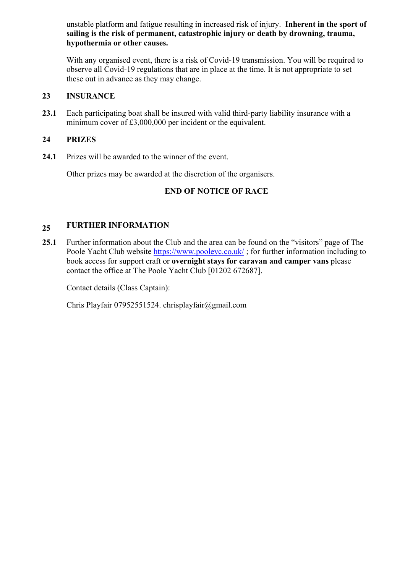unstable platform and fatigue resulting in increased risk of injury. **Inherent in the sport of sailing is the risk of permanent, catastrophic injury or death by drowning, trauma, hypothermia or other causes.**

With any organised event, there is a risk of Covid-19 transmission. You will be required to observe all Covid-19 regulations that are in place at the time. It is not appropriate to set these out in advance as they may change.

# **23 INSURANCE**

**23.1** Each participating boat shall be insured with valid third-party liability insurance with a minimum cover of £3,000,000 per incident or the equivalent.

# **24 PRIZES**

**24.1** Prizes will be awarded to the winner of the event.

Other prizes may be awarded at the discretion of the organisers.

# **END OF NOTICE OF RACE**

#### **25 FURTHER INFORMATION**

**25.1** Further information about the Club and the area can be found on the "visitors" page of The Poole Yacht Club website https://www.pooleyc.co.uk/; for further information including to book access for support craft or **overnight stays for caravan and camper vans** please contact the office at The Poole Yacht Club [01202 672687].

Contact details (Class Captain):

Chris Playfair 07952551524. chrisplayfair@gmail.com